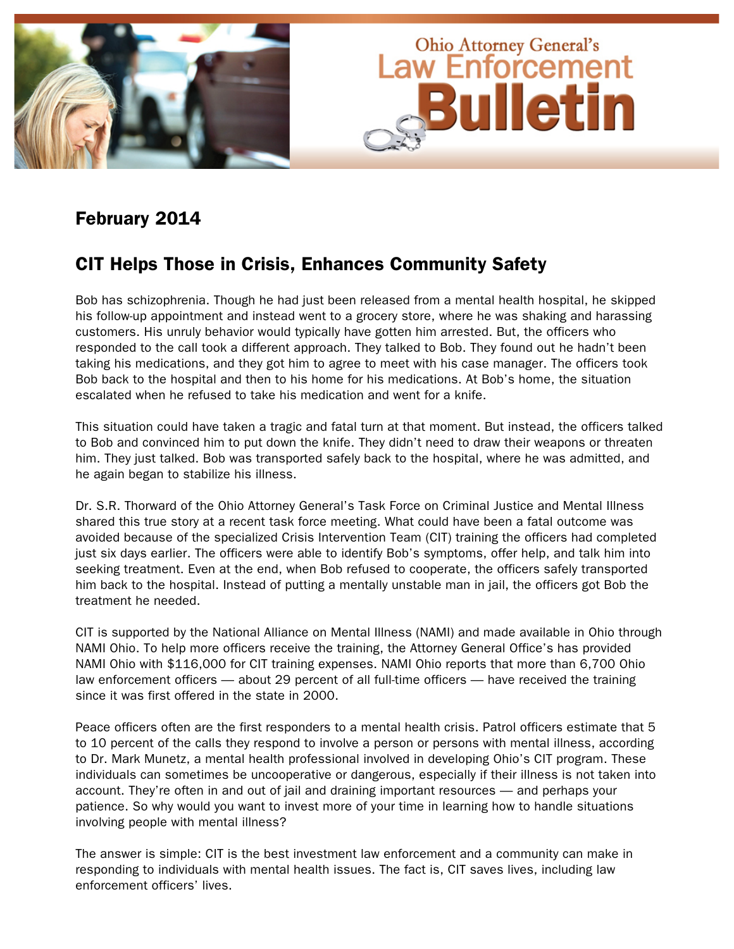

# February 2014

# CIT Helps Those in Crisis, Enhances Community Safety

Bob has schizophrenia. Though he had just been released from a mental health hospital, he skipped his follow-up appointment and instead went to a grocery store, where he was shaking and harassing customers. His unruly behavior would typically have gotten him arrested. But, the officers who responded to the call took a different approach. They talked to Bob. They found out he hadn't been taking his medications, and they got him to agree to meet with his case manager. The officers took Bob back to the hospital and then to his home for his medications. At Bob's home, the situation escalated when he refused to take his medication and went for a knife.

This situation could have taken a tragic and fatal turn at that moment. But instead, the officers talked to Bob and convinced him to put down the knife. They didn't need to draw their weapons or threaten him. They just talked. Bob was transported safely back to the hospital, where he was admitted, and he again began to stabilize his illness.

Dr. S.R. Thorward of the Ohio Attorney General's Task Force on Criminal Justice and Mental Illness shared this true story at a recent task force meeting. What could have been a fatal outcome was avoided because of the specialized Crisis Intervention Team (CIT) training the officers had completed just six days earlier. The officers were able to identify Bob's symptoms, offer help, and talk him into seeking treatment. Even at the end, when Bob refused to cooperate, the officers safely transported him back to the hospital. Instead of putting a mentally unstable man in jail, the officers got Bob the treatment he needed.

CIT is supported by the National Alliance on Mental Illness (NAMI) and made available in Ohio through NAMI Ohio. To help more officers receive the training, the Attorney General Office's has provided NAMI Ohio with \$116,000 for CIT training expenses. NAMI Ohio reports that more than 6,700 Ohio law enforcement officers — about 29 percent of all full-time officers — have received the training since it was first offered in the state in 2000.

Peace officers often are the first responders to a mental health crisis. Patrol officers estimate that 5 to 10 percent of the calls they respond to involve a person or persons with mental illness, according to Dr. Mark Munetz, a mental health professional involved in developing Ohio's CIT program. These individuals can sometimes be uncooperative or dangerous, especially if their illness is not taken into account. They're often in and out of jail and draining important resources — and perhaps your patience. So why would you want to invest more of your time in learning how to handle situations involving people with mental illness?

The answer is simple: CIT is the best investment law enforcement and a community can make in responding to individuals with mental health issues. The fact is, CIT saves lives, including law enforcement officers' lives.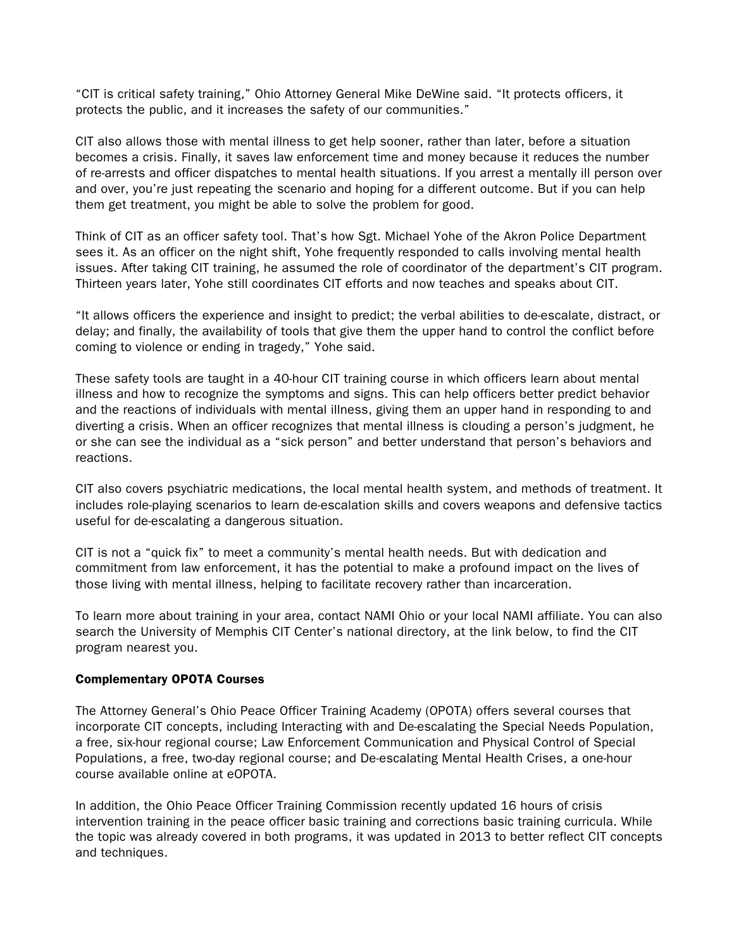"CIT is critical safety training," Ohio Attorney General Mike DeWine said. "It protects officers, it protects the public, and it increases the safety of our communities."

CIT also allows those with mental illness to get help sooner, rather than later, before a situation becomes a crisis. Finally, it saves law enforcement time and money because it reduces the number of re-arrests and officer dispatches to mental health situations. If you arrest a mentally ill person over and over, you're just repeating the scenario and hoping for a different outcome. But if you can help them get treatment, you might be able to solve the problem for good.

Think of CIT as an officer safety tool. That's how Sgt. Michael Yohe of the Akron Police Department sees it. As an officer on the night shift, Yohe frequently responded to calls involving mental health issues. After taking CIT training, he assumed the role of coordinator of the department's CIT program. Thirteen years later, Yohe still coordinates CIT efforts and now teaches and speaks about CIT.

"It allows officers the experience and insight to predict; the verbal abilities to de-escalate, distract, or delay; and finally, the availability of tools that give them the upper hand to control the conflict before coming to violence or ending in tragedy," Yohe said.

These safety tools are taught in a 40-hour CIT training course in which officers learn about mental illness and how to recognize the symptoms and signs. This can help officers better predict behavior and the reactions of individuals with mental illness, giving them an upper hand in responding to and diverting a crisis. When an officer recognizes that mental illness is clouding a person's judgment, he or she can see the individual as a "sick person" and better understand that person's behaviors and reactions.

CIT also covers psychiatric medications, the local mental health system, and methods of treatment. It includes role-playing scenarios to learn de-escalation skills and covers weapons and defensive tactics useful for de-escalating a dangerous situation.

CIT is not a "quick fix" to meet a community's mental health needs. But with dedication and commitment from law enforcement, it has the potential to make a profound impact on the lives of those living with mental illness, helping to facilitate recovery rather than incarceration.

To learn more about training in your area, contact NAMI Ohio or your local NAMI affiliate. You can also search the University of Memphis CIT Center's national directory, at the link below, to find the CIT program nearest you.

## Complementary OPOTA Courses

The Attorney General's Ohio Peace Officer Training Academy (OPOTA) offers several courses that incorporate CIT concepts, including Interacting with and De-escalating the Special Needs Population, a free, six-hour regional course; Law Enforcement Communication and Physical Control of Special Populations, a free, two-day regional course; and De-escalating Mental Health Crises, a one-hour course available online at eOPOTA.

In addition, the Ohio Peace Officer Training Commission recently updated 16 hours of crisis intervention training in the peace officer basic training and corrections basic training curricula. While the topic was already covered in both programs, it was updated in 2013 to better reflect CIT concepts and techniques.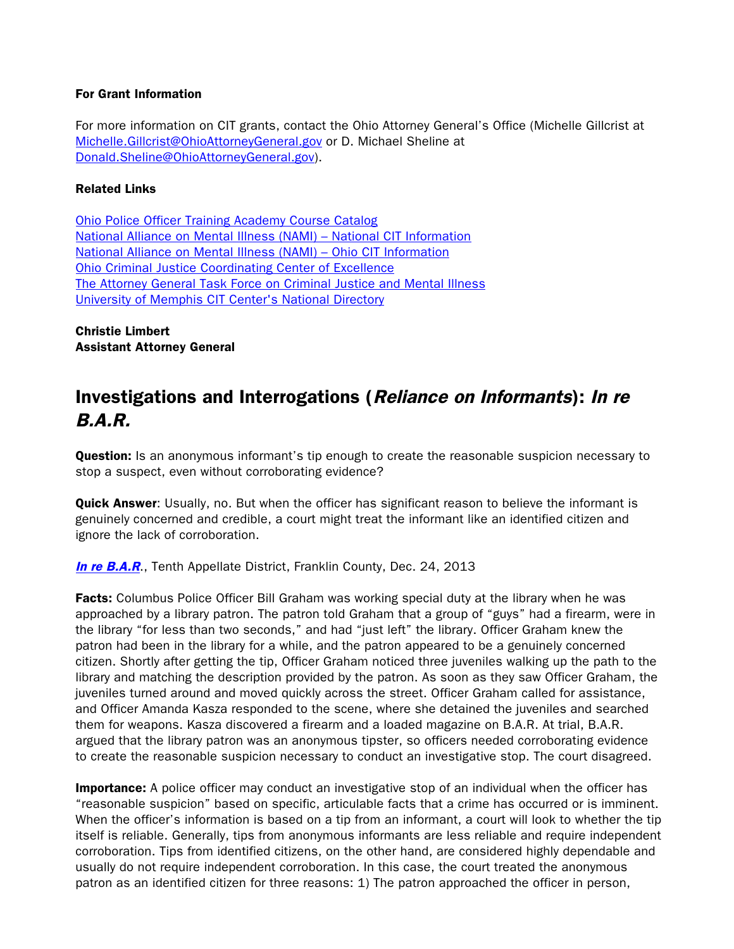## For Grant Information

For more information on CIT grants, contact the Ohio Attorney General's Office (Michelle Gillcrist at Michelle.Gillcrist@OhioAttorneyGeneral.gov or D. Michael Sheline at Donald.Sheline@OhioAttorneyGeneral.gov).

## Related Links

[Ohio Police Officer Training Academy Course Catalog](http://www.ohioattorneygeneral.gov/Law-Enforcement/Ohio-Peace-Officer-Training-Academy/Course-Catalog.aspx) [National Alliance on Mental Illness \(NAMI\) –](http://www.nami.org/template.cfm?section=cit2) National CIT Information [National Alliance on Mental Illness \(NAMI\) –](http://www.namiohio.org/mental_health_programs/CIT) Ohio CIT Information [Ohio Criminal Justice Coordinating Center of Excellence](http://www3.neomed.edu/cjccoe/) [The Attorney General Task Force on Criminal Justice and Mental Illness](http://www.ohioattorneygeneral.gov/Individuals-and-Families/Victims/Task-Force-on-Criminal-Justice-and-Mental-Illness) [University of Memphis CIT Center's National Directory](http://cit.memphis.edu/CitMap/)

Christie Limbert Assistant Attorney General

# Investigations and Interrogations (Reliance on Informants): In re B.A.R.

**Question:** Is an anonymous informant's tip enough to create the reasonable suspicion necessary to stop a suspect, even without corroborating evidence?

**Quick Answer:** Usually, no. But when the officer has significant reason to believe the informant is genuinely concerned and credible, a court might treat the informant like an identified citizen and ignore the lack of corroboration.

**[In re B.A.R](http://www.supremecourt.ohio.gov/rod/docs/pdf/10/2013/2013-ohio-5712.pdf).**, Tenth Appellate District, Franklin County, Dec. 24, 2013

Facts: Columbus Police Officer Bill Graham was working special duty at the library when he was approached by a library patron. The patron told Graham that a group of "guys" had a firearm, were in the library "for less than two seconds," and had "just left" the library. Officer Graham knew the patron had been in the library for a while, and the patron appeared to be a genuinely concerned citizen. Shortly after getting the tip, Officer Graham noticed three juveniles walking up the path to the library and matching the description provided by the patron. As soon as they saw Officer Graham, the juveniles turned around and moved quickly across the street. Officer Graham called for assistance, and Officer Amanda Kasza responded to the scene, where she detained the juveniles and searched them for weapons. Kasza discovered a firearm and a loaded magazine on B.A.R. At trial, B.A.R. argued that the library patron was an anonymous tipster, so officers needed corroborating evidence to create the reasonable suspicion necessary to conduct an investigative stop. The court disagreed.

Importance: A police officer may conduct an investigative stop of an individual when the officer has "reasonable suspicion" based on specific, articulable facts that a crime has occurred or is imminent. When the officer's information is based on a tip from an informant, a court will look to whether the tip itself is reliable. Generally, tips from anonymous informants are less reliable and require independent corroboration. Tips from identified citizens, on the other hand, are considered highly dependable and usually do not require independent corroboration. In this case, the court treated the anonymous patron as an identified citizen for three reasons: 1) The patron approached the officer in person,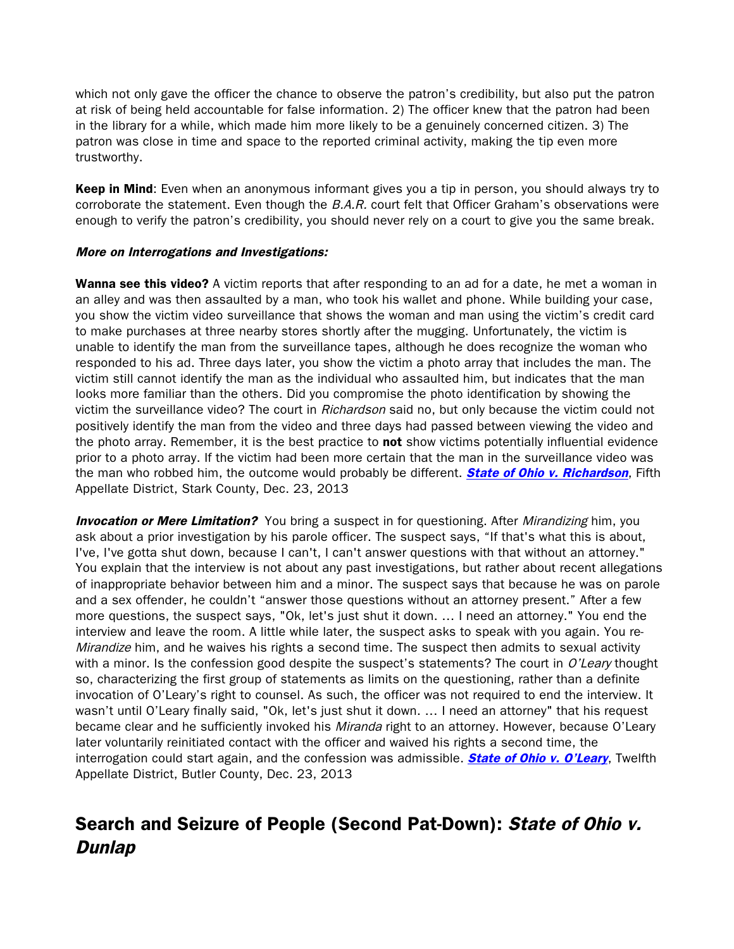which not only gave the officer the chance to observe the patron's credibility, but also put the patron at risk of being held accountable for false information. 2) The officer knew that the patron had been in the library for a while, which made him more likely to be a genuinely concerned citizen. 3) The patron was close in time and space to the reported criminal activity, making the tip even more trustworthy.

Keep in Mind: Even when an anonymous informant gives you a tip in person, you should always try to corroborate the statement. Even though the  $B.A.R.$  court felt that Officer Graham's observations were enough to verify the patron's credibility, you should never rely on a court to give you the same break.

## More on Interrogations and Investigations:

Wanna see this video? A victim reports that after responding to an ad for a date, he met a woman in an alley and was then assaulted by a man, who took his wallet and phone. While building your case, you show the victim video surveillance that shows the woman and man using the victim's credit card to make purchases at three nearby stores shortly after the mugging. Unfortunately, the victim is unable to identify the man from the surveillance tapes, although he does recognize the woman who responded to his ad. Three days later, you show the victim a photo array that includes the man. The victim still cannot identify the man as the individual who assaulted him, but indicates that the man looks more familiar than the others. Did you compromise the photo identification by showing the victim the surveillance video? The court in Richardson said no, but only because the victim could not positively identify the man from the video and three days had passed between viewing the video and the photo array. Remember, it is the best practice to not show victims potentially influential evidence prior to a photo array. If the victim had been more certain that the man in the surveillance video was the man who robbed him, the outcome would probably be different. **[State of Ohio v. Richardson](http://www.supremecourt.ohio.gov/rod/docs/pdf/5/2013/2013-ohio-5760.pdf)**, Fifth Appellate District, Stark County, Dec. 23, 2013

**Invocation or Mere Limitation?** You bring a suspect in for questioning. After *Mirandizing* him, you ask about a prior investigation by his parole officer. The suspect says, "If that's what this is about, I've, I've gotta shut down, because I can't, I can't answer questions with that without an attorney." You explain that the interview is not about any past investigations, but rather about recent allegations of inappropriate behavior between him and a minor. The suspect says that because he was on parole and a sex offender, he couldn't "answer those questions without an attorney present." After a few more questions, the suspect says, "Ok, let's just shut it down. … I need an attorney." You end the interview and leave the room. A little while later, the suspect asks to speak with you again. You re-Mirandize him, and he waives his rights a second time. The suspect then admits to sexual activity with a minor. Is the confession good despite the suspect's statements? The court in  $O'$ Leary thought so, characterizing the first group of statements as limits on the questioning, rather than a definite invocation of O'Leary's right to counsel. As such, the officer was not required to end the interview. It wasn't until O'Leary finally said, "Ok, let's just shut it down. … I need an attorney" that his request became clear and he sufficiently invoked his *Miranda* right to an attorney. However, because O'Leary later voluntarily reinitiated contact with the officer and waived his rights a second time, the interrogation could start again, and the confession was admissible. **[State of Ohio v. O'Leary](http://www.supremecourt.ohio.gov/rod/docs/pdf/12/2013/2013-ohio-5670.pdf)**, Twelfth Appellate District, Butler County, Dec. 23, 2013

# Search and Seizure of People (Second Pat-Down): State of Ohio v. **Dunlap**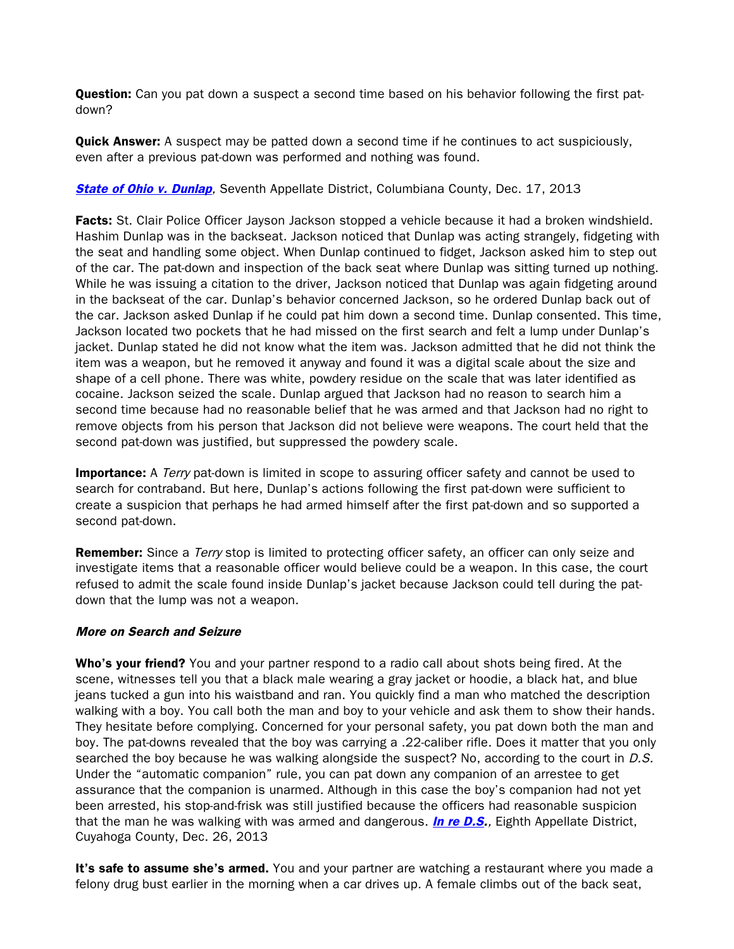**Question:** Can you pat down a suspect a second time based on his behavior following the first patdown?

**Quick Answer:** A suspect may be patted down a second time if he continues to act suspiciously, even after a previous pat-down was performed and nothing was found.

**[State of Ohio v. Dunlap](http://www.sconet.state.oh.us/rod/docs/pdf/7/2013/2013-ohio-5637.pdf),** Seventh Appellate District, Columbiana County, Dec. 17, 2013

**Facts:** St. Clair Police Officer Jayson Jackson stopped a vehicle because it had a broken windshield. Hashim Dunlap was in the backseat. Jackson noticed that Dunlap was acting strangely, fidgeting with the seat and handling some object. When Dunlap continued to fidget, Jackson asked him to step out of the car. The pat-down and inspection of the back seat where Dunlap was sitting turned up nothing. While he was issuing a citation to the driver, Jackson noticed that Dunlap was again fidgeting around in the backseat of the car. Dunlap's behavior concerned Jackson, so he ordered Dunlap back out of the car. Jackson asked Dunlap if he could pat him down a second time. Dunlap consented. This time, Jackson located two pockets that he had missed on the first search and felt a lump under Dunlap's jacket. Dunlap stated he did not know what the item was. Jackson admitted that he did not think the item was a weapon, but he removed it anyway and found it was a digital scale about the size and shape of a cell phone. There was white, powdery residue on the scale that was later identified as cocaine. Jackson seized the scale. Dunlap argued that Jackson had no reason to search him a second time because had no reasonable belief that he was armed and that Jackson had no right to remove objects from his person that Jackson did not believe were weapons. The court held that the second pat-down was justified, but suppressed the powdery scale.

**Importance:** A Terry pat-down is limited in scope to assuring officer safety and cannot be used to search for contraband. But here, Dunlap's actions following the first pat-down were sufficient to create a suspicion that perhaps he had armed himself after the first pat-down and so supported a second pat-down.

**Remember:** Since a *Terry* stop is limited to protecting officer safety, an officer can only seize and investigate items that a reasonable officer would believe could be a weapon. In this case, the court refused to admit the scale found inside Dunlap's jacket because Jackson could tell during the patdown that the lump was not a weapon.

## More on Search and Seizure

**Who's your friend?** You and your partner respond to a radio call about shots being fired. At the scene, witnesses tell you that a black male wearing a gray jacket or hoodie, a black hat, and blue jeans tucked a gun into his waistband and ran. You quickly find a man who matched the description walking with a boy. You call both the man and boy to your vehicle and ask them to show their hands. They hesitate before complying. Concerned for your personal safety, you pat down both the man and boy. The pat-downs revealed that the boy was carrying a .22-caliber rifle. Does it matter that you only searched the boy because he was walking alongside the suspect? No, according to the court in D.S. Under the "automatic companion" rule, you can pat down any companion of an arrestee to get assurance that the companion is unarmed. Although in this case the boy's companion had not yet been arrested, his stop-and-frisk was still justified because the officers had reasonable suspicion that the man he was walking with was armed and dangerous. **[In re D.S.](http://www.sconet.state.oh.us/rod/docs/pdf/8/2013/2013-ohio-5740.pdf)**, Eighth Appellate District, Cuyahoga County, Dec. 26, 2013

It's safe to assume she's armed. You and your partner are watching a restaurant where you made a felony drug bust earlier in the morning when a car drives up. A female climbs out of the back seat,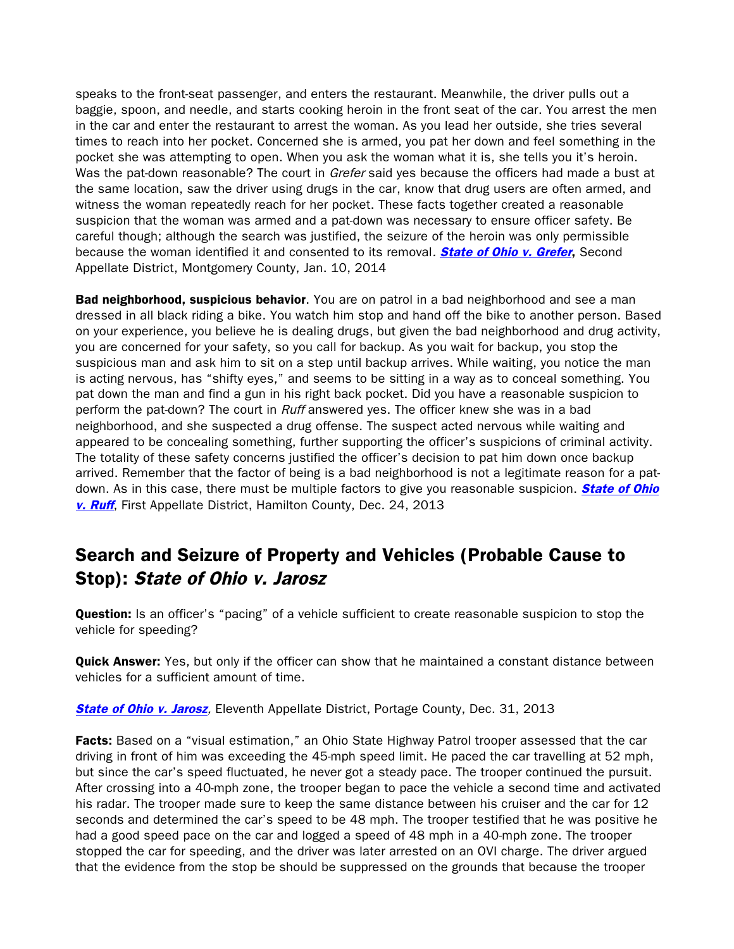speaks to the front-seat passenger, and enters the restaurant. Meanwhile, the driver pulls out a baggie, spoon, and needle, and starts cooking heroin in the front seat of the car. You arrest the men in the car and enter the restaurant to arrest the woman. As you lead her outside, she tries several times to reach into her pocket. Concerned she is armed, you pat her down and feel something in the pocket she was attempting to open. When you ask the woman what it is, she tells you it's heroin. Was the pat-down reasonable? The court in Grefer said yes because the officers had made a bust at the same location, saw the driver using drugs in the car, know that drug users are often armed, and witness the woman repeatedly reach for her pocket. These facts together created a reasonable suspicion that the woman was armed and a pat-down was necessary to ensure officer safety. Be careful though; although the search was justified, the seizure of the heroin was only permissible because the woman identified it and consented to its removal. **[State of Ohio v. Grefer](http://supremecourtofohio.gov/rod/docs/pdf/2/2014/2014-ohio-51.pdf)**, Second Appellate District, Montgomery County, Jan. 10, 2014

**Bad neighborhood, suspicious behavior**. You are on patrol in a bad neighborhood and see a man dressed in all black riding a bike. You watch him stop and hand off the bike to another person. Based on your experience, you believe he is dealing drugs, but given the bad neighborhood and drug activity, you are concerned for your safety, so you call for backup. As you wait for backup, you stop the suspicious man and ask him to sit on a step until backup arrives. While waiting, you notice the man is acting nervous, has "shifty eyes," and seems to be sitting in a way as to conceal something. You pat down the man and find a gun in his right back pocket. Did you have a reasonable suspicion to perform the pat-down? The court in *Ruff* answered yes. The officer knew she was in a bad neighborhood, and she suspected a drug offense. The suspect acted nervous while waiting and appeared to be concealing something, further supporting the officer's suspicions of criminal activity. The totality of these safety concerns justified the officer's decision to pat him down once backup arrived. Remember that the factor of being is a bad neighborhood is not a legitimate reason for a patdown. As in this case, there must be multiple factors to give you reasonable suspicion. **State of Ohio** [v. Ruff](http://www.google.com/url?sa=t&rct=j&q=&esrc=s&frm=1&source=web&cd=1&cad=rja&ved=0CCQQFjAA&url=http%3A%2F%2Fwww.supremecourt.ohio.gov%2Frod%2Fdocs%2Fpdf%2F1%2F2013%2F2013-ohio-5892.pdf&ei=yLDyUpe8PNDnsATZ54CYDA&usg=AFQjCNGYT_H-C71WBdBEvOsIbYFyKgrU9w), First Appellate District, Hamilton County, Dec. 24, 2013

# Search and Seizure of Property and Vehicles (Probable Cause to Stop): State of Ohio v. Jarosz

**Question:** Is an officer's "pacing" of a vehicle sufficient to create reasonable suspicion to stop the vehicle for speeding?

**Quick Answer:** Yes, but only if the officer can show that he maintained a constant distance between vehicles for a sufficient amount of time.

**[State of Ohio v. Jarosz](http://www.sconet.state.oh.us/rod/docs/pdf/11/2013/2013-ohio-5839.pdf), Eleventh Appellate District, Portage County, Dec. 31, 2013** 

Facts: Based on a "visual estimation," an Ohio State Highway Patrol trooper assessed that the car driving in front of him was exceeding the 45-mph speed limit. He paced the car travelling at 52 mph, but since the car's speed fluctuated, he never got a steady pace. The trooper continued the pursuit. After crossing into a 40-mph zone, the trooper began to pace the vehicle a second time and activated his radar. The trooper made sure to keep the same distance between his cruiser and the car for 12 seconds and determined the car's speed to be 48 mph. The trooper testified that he was positive he had a good speed pace on the car and logged a speed of 48 mph in a 40-mph zone. The trooper stopped the car for speeding, and the driver was later arrested on an OVI charge. The driver argued that the evidence from the stop be should be suppressed on the grounds that because the trooper